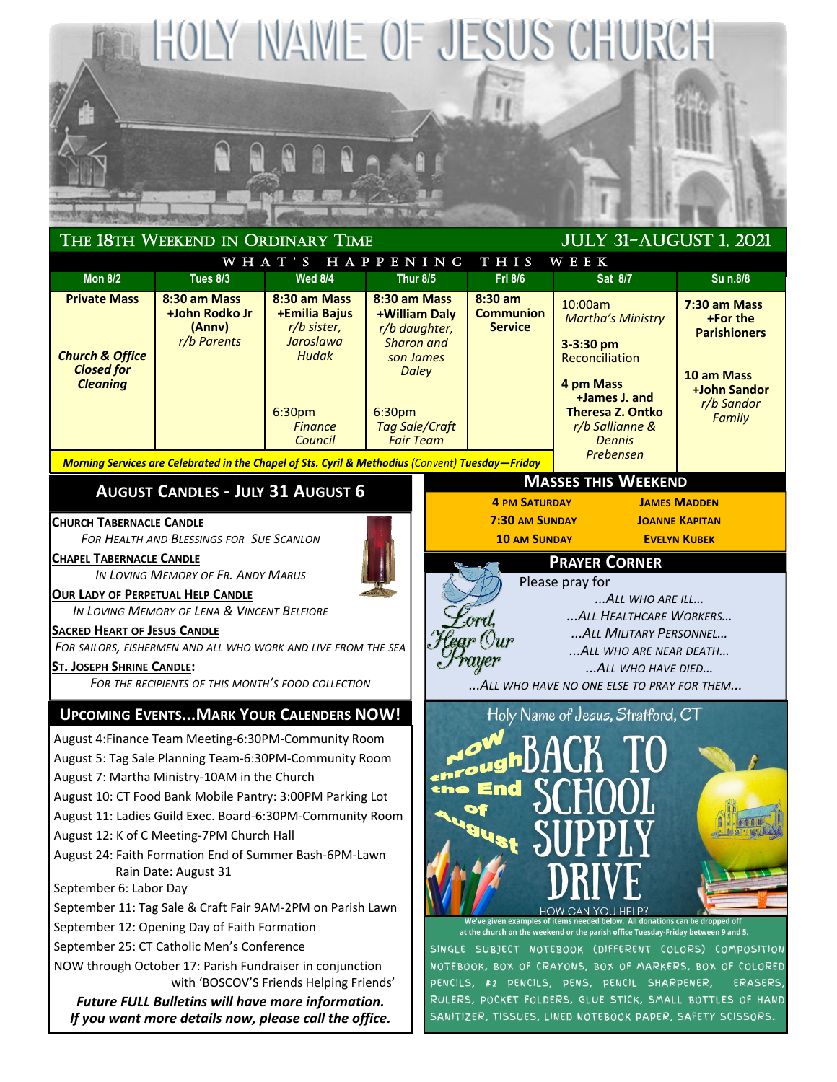

*If you want more details now, please call the office.*

SANITIZER, TISSUES, LINED NOTEBOOK PAPER, SAFETY SCISSORS.